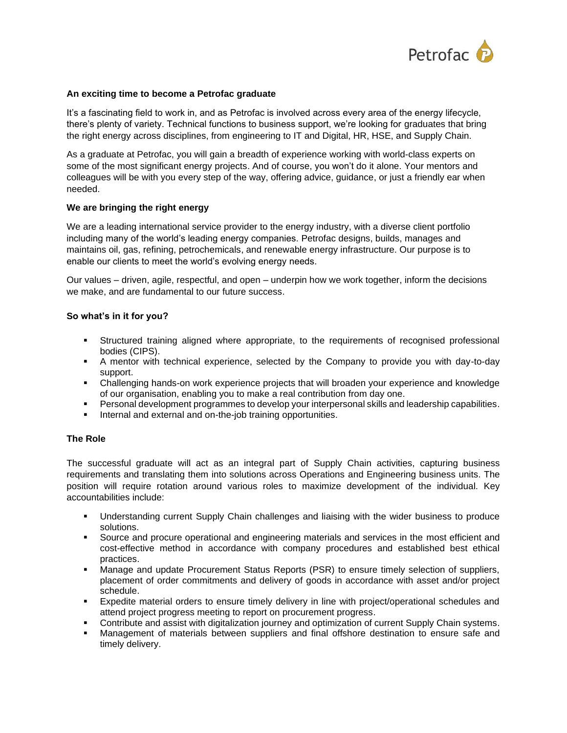

# **An exciting time to become a Petrofac graduate**

It's a fascinating field to work in, and as Petrofac is involved across every area of the energy lifecycle, there's plenty of variety. Technical functions to business support, we're looking for graduates that bring the right energy across disciplines, from engineering to IT and Digital, HR, HSE, and Supply Chain.

As a graduate at Petrofac, you will gain a breadth of experience working with world-class experts on some of the most significant energy projects. And of course, you won't do it alone. Your mentors and colleagues will be with you every step of the way, offering advice, guidance, or just a friendly ear when needed.

# **We are bringing the right energy**

We are a leading international service provider to the energy industry, with a diverse client portfolio including many of the world's leading energy companies. Petrofac designs, builds, manages and maintains oil, gas, refining, petrochemicals, and renewable energy infrastructure. Our purpose is to enable our clients to meet the world's evolving energy needs.

Our values – driven, agile, respectful, and open – underpin how we work together, inform the decisions we make, and are fundamental to our future success.

# **So what's in it for you?**

- **EXECT Structured training aligned where appropriate, to the requirements of recognised professional** bodies (CIPS).
- A mentor with technical experience, selected by the Company to provide you with day-to-day support.
- Challenging hands-on work experience projects that will broaden your experience and knowledge of our organisation, enabling you to make a real contribution from day one.
- **•** Personal development programmes to develop your interpersonal skills and leadership capabilities.
- Internal and external and on-the-job training opportunities.

### **The Role**

The successful graduate will act as an integral part of Supply Chain activities, capturing business requirements and translating them into solutions across Operations and Engineering business units. The position will require rotation around various roles to maximize development of the individual. Key accountabilities include:

- Understanding current Supply Chain challenges and liaising with the wider business to produce solutions.
- Source and procure operational and engineering materials and services in the most efficient and cost-effective method in accordance with company procedures and established best ethical practices.
- **■** Manage and update Procurement Status Reports (PSR) to ensure timely selection of suppliers, placement of order commitments and delivery of goods in accordance with asset and/or project schedule.
- Expedite material orders to ensure timely delivery in line with project/operational schedules and attend project progress meeting to report on procurement progress.
- Contribute and assist with digitalization journey and optimization of current Supply Chain systems.
- Management of materials between suppliers and final offshore destination to ensure safe and timely delivery.